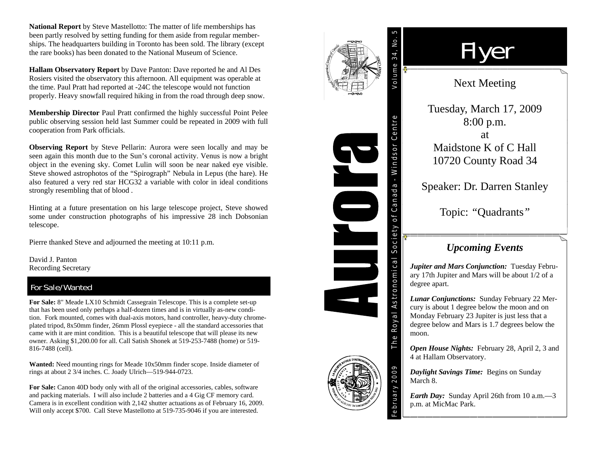**National Report** by Steve Mastellotto: The matter of life memberships has been partly resolved by setting funding for them aside from regular memberships. The headquarters building in Toronto has been sold. The library (except the rare books) has been donated to the National Museum of Science.

**Hallam Observatory Report** by Dave Panton: Dave reported he and Al Des Rosiers visited the observatory this afternoon. All equipment was operable at the time. Paul Pratt had reported at -24C the telescope would not function properly. Heavy snowfall required hiking in from the road through deep snow.

**Membership Director** Paul Pratt confirmed the highly successful Point Pelee public observing session held last Summer could be repeated in 2009 with full cooperation from Park officials.

**Observing Report** by Steve Pellarin: Aurora were seen locally and may be seen again this month due to the Sun's coronal activity. Venus is now a bright object in the evening sky. Comet Lulin will soon be near naked eye visible. Steve showed astrophotos of the "Spirograph" Nebula in Lepus (the hare). He also featured a very red star HCG32 a variable with color in ideal conditions strongly resembling that of blood .

Hinting at a future presentation on his large telescope project, Steve showed some under construction photographs of his impressive 28 inch Dobsonian telescope.

Pierre thanked Steve and adjourned the meeting at 10:11 p.m.

David J. Panton Recording Secretary

### For Sale/Wanted

**For Sale:** 8" Meade LX10 Schmidt Cassegrain Telescope. This is a complete set-up that has been used only perhaps a half-dozen times and is in virtually as-new condition. Fork mounted, comes with dual-axis motors, hand controller, heavy-duty chromeplated tripod, 8x50mm finder, 26mm Plossl eyepiece - all the standard accessories that came with it are mint condition. This is a beautiful telescope that will please its new owner. Asking \$1,200.00 for all. Call Satish Shonek at 519-253-7488 (home) or 519- 816-7488 (cell).

**Wanted:** Need mounting rings for Meade 10x50mm finder scope. Inside diameter of rings at about 2 3/4 inches. C. Joady Ulrich—519-944-0723.

**For Sale:** Canon 40D body only with all of the original accessories, cables, software and packing materials. I will also include 2 batteries and a 4 Gig CF memory card. Camera is in excellent condition with 2,142 shutter actuations as of February 16, 2009. Will only accept \$700. Call Steve Mastellotto at 519-735-9046 if you are interested.





February 2009

# Flyer

## Next Meeting

Tuesday, March 17, 2009 8:00 p.m.

at Maidstone K of C Hall 10720 County Road 34

Speaker: Dr. Darren Stanley

Topic: *"*Quadrants*"* 

## *Upcoming Events*

*Jupiter and Mars Conjunction:* Tuesday February 17th Jupiter and Mars will be about 1/2 of a degree apart.

*Lunar Conjunctions:* Sunday February 22 Mercury is about 1 degree below the moon and on Monday February 23 Jupiter is just less that a degree below and Mars is 1.7 degrees below the moon.

*Open House Nights:* February 28, April 2, 3 and 4 at Hallam Observatory.

*Daylight Savings Time:* Begins on Sunday March 8.

*Earth Day:* Sunday April 26th from 10 a.m.—3 p.m. at MicMac Park.